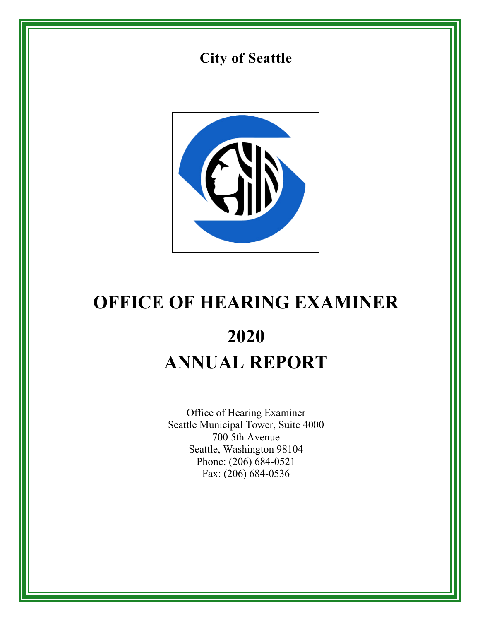



# **OFFICE OF HEARING EXAMINER 2020 ANNUAL REPORT**

Office of Hearing Examiner Seattle Municipal Tower, Suite 4000 700 5th Avenue Seattle, Washington 98104 Phone: (206) 684-0521 Fax: (206) 684-0536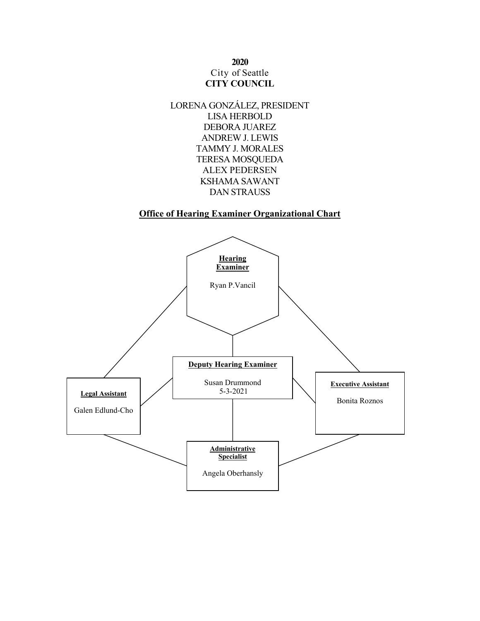## **2020** City of Seattle **CITY COUNCIL**



### **Office of Hearing Examiner Organizational Chart**

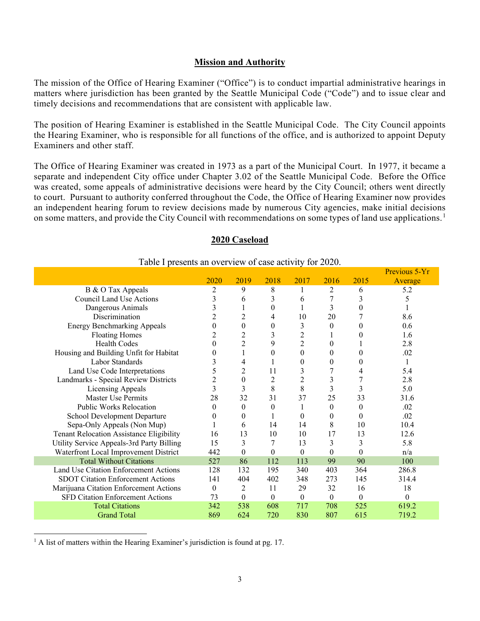#### **Mission and Authority**

The mission of the Office of Hearing Examiner ("Office") is to conduct impartial administrative hearings in matters where jurisdiction has been granted by the Seattle Municipal Code ("Code") and to issue clear and timely decisions and recommendations that are consistent with applicable law.

The position of Hearing Examiner is established in the Seattle Municipal Code. The City Council appoints the Hearing Examiner, who is responsible for all functions of the office, and is authorized to appoint Deputy Examiners and other staff.

The Office of Hearing Examiner was created in 1973 as a part of the Municipal Court. In 1977, it became a separate and independent City office under Chapter 3.02 of the Seattle Municipal Code. Before the Office was created, some appeals of administrative decisions were heard by the City Council; others went directly to court. Pursuant to authority conferred throughout the Code, the Office of Hearing Examiner now provides an independent hearing forum to review decisions made by numerous City agencies, make initial decisions on some matters, and provide the City Council with recommendations on some types of land use applications.<sup>[1](#page-2-0)</sup>

#### **2020 Caseload**

|                                           |          |                  |          |                  |                  |                  | Previous 5-Yr |
|-------------------------------------------|----------|------------------|----------|------------------|------------------|------------------|---------------|
|                                           | 2020     | 2019             | 2018     | 2017             | 2016             | 2015             | Average       |
| B & O Tax Appeals                         | 2        | 9                | 8        |                  | 2                | 6                | 5.2           |
| Council Land Use Actions                  | 3        | 6                | 3        | 6                |                  | 3                | 5             |
| Dangerous Animals                         | 3        | 1                | $\theta$ | 1                | 3                | $\theta$         |               |
| Discrimination                            | 2        | 2                | 4        | 10               | 20               |                  | 8.6           |
| <b>Energy Benchmarking Appeals</b>        | 0        | $\theta$         | $\theta$ | 3                | $\Omega$         | 0                | 0.6           |
| <b>Floating Homes</b>                     | 2        | 2                | 3        | $\overline{c}$   |                  | 0                | 1.6           |
| <b>Health Codes</b>                       | 0        | $\overline{c}$   | 9        | $\overline{2}$   | $\theta$         |                  | 2.8           |
| Housing and Building Unfit for Habitat    | $_{0}$   |                  | $\Omega$ | $\theta$         | $\theta$         | 0                | .02           |
| Labor Standards                           | 3        | 4                |          | $\overline{0}$   | $\boldsymbol{0}$ | 0                | 1             |
| Land Use Code Interpretations             | 5        | 2                | 11       | 3                |                  | 4                | 5.4           |
| Landmarks - Special Review Districts      | 2        | $\theta$         | 2        | $\overline{2}$   | 3                |                  | 2.8           |
| Licensing Appeals                         | 3        | 3                | 8        | 8                | 3                | 3                | 5.0           |
| Master Use Permits                        | 28       | 32               | 31       | 37               | 25               | 33               | 31.6          |
| Public Works Relocation                   | $\theta$ | $\theta$         | $\theta$ | 1                | $\overline{0}$   | $\theta$         | .02           |
| School Development Departure              | 0        | 0                |          | $\theta$         | $\theta$         | $\theta$         | .02           |
| Sepa-Only Appeals (Non Mup)               |          | 6                | 14       | 14               | 8                | 10               | 10.4          |
| Tenant Relocation Assistance Eligibility  | 16       | 13               | 10       | 10               | 17               | 13               | 12.6          |
| Utility Service Appeals-3rd Party Billing | 15       | 3                |          | 13               | 3                | 3                | 5.8           |
| Waterfront Local Improvement District     | 442      | $\boldsymbol{0}$ | $\Omega$ | $\theta$         | $\theta$         | $\boldsymbol{0}$ | n/a           |
| <b>Total Without Citations</b>            | 527      | 86               | 112      | 113              | 99               | 90               | 100           |
| Land Use Citation Enforcement Actions     | 128      | 132              | 195      | 340              | 403              | 364              | 286.8         |
| <b>SDOT Citation Enforcement Actions</b>  | 141      | 404              | 402      | 348              | 273              | 145              | 314.4         |
| Marijuana Citation Enforcement Actions    | $\theta$ | 2                | 11       | 29               | 32               | 16               | 18            |
| SFD Citation Enforcement Actions          | 73       | $\boldsymbol{0}$ | $\theta$ | $\boldsymbol{0}$ | $\overline{0}$   | $\theta$         | $\Omega$      |
| <b>Total Citations</b>                    | 342      | 538              | 608      | 717              | 708              | 525              | 619.2         |
| <b>Grand Total</b>                        | 869      | 624              | 720      | 830              | 807              | 615              | 719.2         |

#### Table I presents an overview of case activity for 2020.

<span id="page-2-0"></span> $<sup>1</sup>$  A list of matters within the Hearing Examiner's jurisdiction is found at pg. 17.</sup>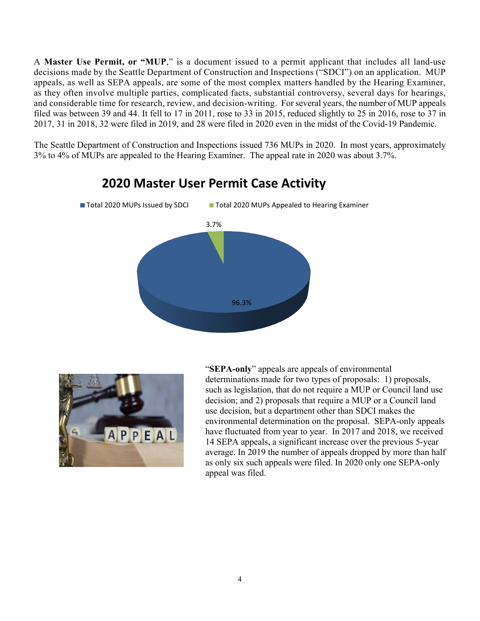A **Master Use Permit, or "MUP**," is a document issued to a permit applicant that includes all land-use decisions made by the Seattle Department of Construction and Inspections ("SDCI") on an application. MUP appeals, as well as SEPA appeals, are some of the most complex matters handled by the Hearing Examiner, as they often involve multiple parties, complicated facts, substantial controversy, several days for hearings, and considerable time for research, review, and decision-writing. For several years, the number of MUP appeals filed was between 39 and 44. It fell to 17 in 2011, rose to 33 in 2015, reduced slightly to 25 in 2016, rose to 37 in 2017, 31 in 2018, 32 were filed in 2019, and 28 were filed in 2020 even in the midst of the Covid-19 Pandemic.

The Seattle Department of Construction and Inspections issued 736 MUPs in 2020. In most years, approximately 3% to 4% of MUPs are appealed to the Hearing Examiner. The appeal rate in 2020 was about 3.7%.



## **2020 Master User Permit Case Activity**



"**SEPA-only**" appeals are appeals of environmental determinations made for two types of proposals: 1) proposals, such as legislation, that do not require a MUP or Council land use decision; and 2) proposals that require a MUP or a Council land use decision, but a department other than SDCI makes the environmental determination on the proposal. SEPA-only appeals have fluctuated from year to year. In 2017 and 2018, we received 14 SEPA appeals, a significant increase over the previous 5-year average. In 2019 the number of appeals dropped by more than half as only six such appeals were filed. In 2020 only one SEPA-only appeal was filed.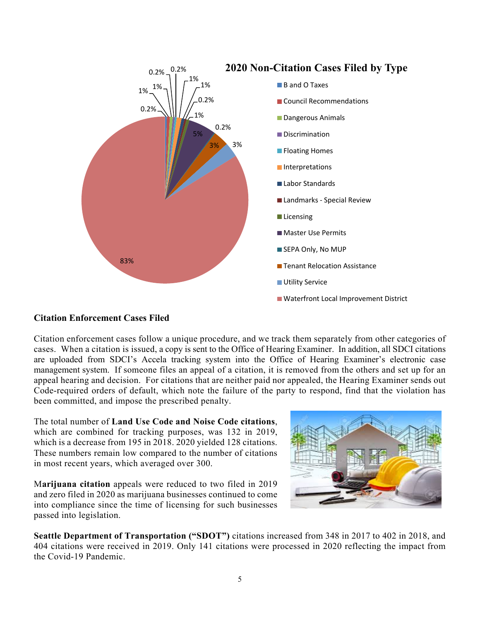

## **Citation Enforcement Cases Filed**

Citation enforcement cases follow a unique procedure, and we track them separately from other categories of cases. When a citation is issued, a copy is sent to the Office of Hearing Examiner. In addition, all SDCI citations are uploaded from SDCI's Accela tracking system into the Office of Hearing Examiner's electronic case management system. If someone files an appeal of a citation, it is removed from the others and set up for an appeal hearing and decision. For citations that are neither paid nor appealed, the Hearing Examiner sends out Code-required orders of default, which note the failure of the party to respond, find that the violation has been committed, and impose the prescribed penalty.

The total number of **Land Use Code and Noise Code citations**, which are combined for tracking purposes, was 132 in 2019, which is a decrease from 195 in 2018. 2020 yielded 128 citations. These numbers remain low compared to the number of citations in most recent years, which averaged over 300.

M**arijuana citation** appeals were reduced to two filed in 2019 and zero filed in 2020 as marijuana businesses continued to come into compliance since the time of licensing for such businesses passed into legislation.

**Seattle Department of Transportation ("SDOT")** citations increased from 348 in 2017 to 402 in 2018, and 404 citations were received in 2019. Only 141 citations were processed in 2020 reflecting the impact from the Covid-19 Pandemic.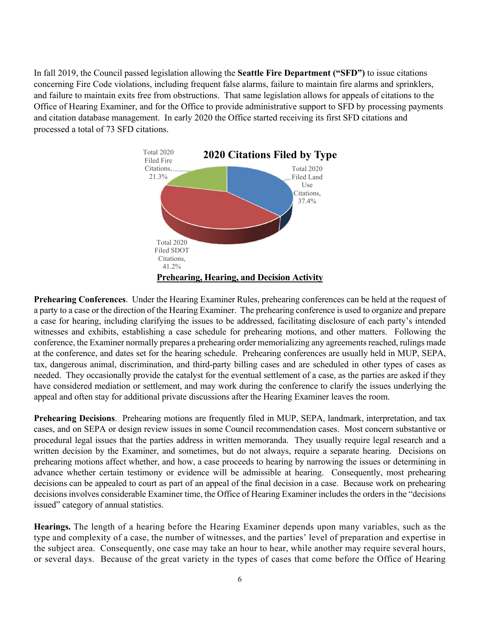In fall 2019, the Council passed legislation allowing the **Seattle Fire Department ("SFD")** to issue citations concerning Fire Code violations, including frequent false alarms, failure to maintain fire alarms and sprinklers, and failure to maintain exits free from obstructions. That same legislation allows for appeals of citations to the Office of Hearing Examiner, and for the Office to provide administrative support to SFD by processing payments and citation database management. In early 2020 the Office started receiving its first SFD citations and processed a total of 73 SFD citations.



**Prehearing Conferences**. Under the Hearing Examiner Rules, prehearing conferences can be held at the request of a party to a case or the direction of the Hearing Examiner. The prehearing conference is used to organize and prepare a case for hearing, including clarifying the issues to be addressed, facilitating disclosure of each party's intended witnesses and exhibits, establishing a case schedule for prehearing motions, and other matters. Following the conference, the Examiner normally prepares a prehearing order memorializing any agreements reached, rulings made at the conference, and dates set for the hearing schedule. Prehearing conferences are usually held in MUP, SEPA, tax, dangerous animal, discrimination, and third-party billing cases and are scheduled in other types of cases as needed. They occasionally provide the catalyst for the eventual settlement of a case, as the parties are asked if they have considered mediation or settlement, and may work during the conference to clarify the issues underlying the appeal and often stay for additional private discussions after the Hearing Examiner leaves the room.

**Prehearing Decisions**. Prehearing motions are frequently filed in MUP, SEPA, landmark, interpretation, and tax cases, and on SEPA or design review issues in some Council recommendation cases. Most concern substantive or procedural legal issues that the parties address in written memoranda. They usually require legal research and a written decision by the Examiner, and sometimes, but do not always, require a separate hearing. Decisions on prehearing motions affect whether, and how, a case proceeds to hearing by narrowing the issues or determining in advance whether certain testimony or evidence will be admissible at hearing. Consequently, most prehearing decisions can be appealed to court as part of an appeal of the final decision in a case. Because work on prehearing decisions involves considerable Examiner time, the Office of Hearing Examiner includes the orders in the "decisions issued" category of annual statistics.

**Hearings.** The length of a hearing before the Hearing Examiner depends upon many variables, such as the type and complexity of a case, the number of witnesses, and the parties' level of preparation and expertise in the subject area. Consequently, one case may take an hour to hear, while another may require several hours, or several days. Because of the great variety in the types of cases that come before the Office of Hearing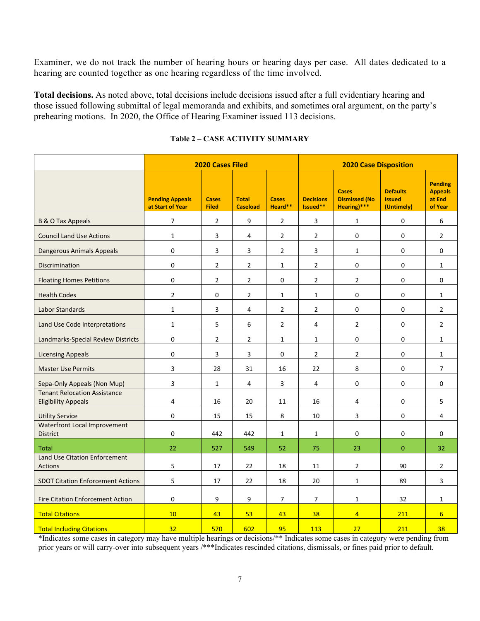Examiner, we do not track the number of hearing hours or hearing days per case. All dates dedicated to a hearing are counted together as one hearing regardless of the time involved.

**Total decisions.** As noted above, total decisions include decisions issued after a full evidentiary hearing and those issued following submittal of legal memoranda and exhibits, and sometimes oral argument, on the party's prehearing motions. In 2020, the Office of Hearing Examiner issued 113 decisions.

|                                                                   | <b>2020 Cases Filed</b>                    |                              |                                 |                         |                              | <b>2020 Case Disposition</b>                        |                                                |                                                       |  |  |  |
|-------------------------------------------------------------------|--------------------------------------------|------------------------------|---------------------------------|-------------------------|------------------------------|-----------------------------------------------------|------------------------------------------------|-------------------------------------------------------|--|--|--|
|                                                                   | <b>Pending Appeals</b><br>at Start of Year | <b>Cases</b><br><b>Filed</b> | <b>Total</b><br><b>Caseload</b> | <b>Cases</b><br>Heard** | <b>Decisions</b><br>Issued** | <b>Cases</b><br><b>Dismissed (No</b><br>Hearing)*** | <b>Defaults</b><br><b>Issued</b><br>(Untimely) | <b>Pending</b><br><b>Appeals</b><br>at End<br>of Year |  |  |  |
| <b>B &amp; O Tax Appeals</b>                                      | $\overline{7}$                             | $\overline{2}$               | 9                               | $\overline{2}$          | 3                            | $\mathbf{1}$                                        | $\pmb{0}$                                      | 6                                                     |  |  |  |
| <b>Council Land Use Actions</b>                                   | $\mathbf 1$                                | 3                            | 4                               | $\overline{2}$          | $\overline{2}$               | 0                                                   | 0                                              | $\overline{2}$                                        |  |  |  |
| Dangerous Animals Appeals                                         | 0                                          | 3                            | 3                               | $\overline{2}$          | 3                            | $\mathbf{1}$                                        | 0                                              | 0                                                     |  |  |  |
| <b>Discrimination</b>                                             | 0                                          | $\overline{2}$               | $\overline{2}$                  | $\mathbf{1}$            | $\overline{2}$               | 0                                                   | 0                                              | $\mathbf{1}$                                          |  |  |  |
| <b>Floating Homes Petitions</b>                                   | $\mathbf 0$                                | $\overline{2}$               | $\overline{2}$                  | 0                       | $\overline{2}$               | $\overline{2}$                                      | $\pmb{0}$                                      | $\Omega$                                              |  |  |  |
| <b>Health Codes</b>                                               | $\overline{2}$                             | 0                            | $\overline{2}$                  | $\mathbf{1}$            | $\mathbf{1}$                 | 0                                                   | 0                                              | $\mathbf{1}$                                          |  |  |  |
| Labor Standards                                                   | $\mathbf 1$                                | 3                            | 4                               | $\overline{2}$          | $\overline{2}$               | 0                                                   | 0                                              | $\overline{2}$                                        |  |  |  |
| Land Use Code Interpretations                                     | $\mathbf{1}$                               | 5                            | 6                               | $\overline{2}$          | 4                            | $\overline{2}$                                      | 0                                              | $\overline{2}$                                        |  |  |  |
| Landmarks-Special Review Districts                                | $\mathsf 0$                                | $\overline{2}$               | $\overline{2}$                  | $\mathbf{1}$            | $\mathbf{1}$                 | 0                                                   | $\pmb{0}$                                      | $\mathbf{1}$                                          |  |  |  |
| <b>Licensing Appeals</b>                                          | 0                                          | 3                            | 3                               | 0                       | $\overline{2}$               | $\overline{2}$                                      | 0                                              | $\mathbf{1}$                                          |  |  |  |
| <b>Master Use Permits</b>                                         | 3                                          | 28                           | 31                              | 16                      | 22                           | 8                                                   | 0                                              | $\overline{7}$                                        |  |  |  |
| Sepa-Only Appeals (Non Mup)                                       | 3                                          | $\mathbf{1}$                 | 4                               | 3                       | 4                            | 0                                                   | 0                                              | 0                                                     |  |  |  |
| <b>Tenant Relocation Assistance</b><br><b>Eligibility Appeals</b> | 4                                          | 16                           | 20                              | 11                      | 16                           | 4                                                   | 0                                              | 5                                                     |  |  |  |
| <b>Utility Service</b>                                            | $\pmb{0}$                                  | 15                           | 15                              | 8                       | 10                           | 3                                                   | 0                                              | $\overline{4}$                                        |  |  |  |
| Waterfront Local Improvement<br><b>District</b>                   | 0                                          | 442                          | 442                             | $\mathbf{1}$            | $\mathbf{1}$                 | 0                                                   | 0                                              | $\Omega$                                              |  |  |  |
| <b>Total</b>                                                      | 22                                         | 527                          | 549                             | 52                      | 75                           | 23                                                  | $\mathbf 0$                                    | 32                                                    |  |  |  |
| Land Use Citation Enforcement<br><b>Actions</b>                   | $\mathsf S$                                | 17                           | 22                              | 18                      | 11                           | $\overline{2}$                                      | 90                                             | $\overline{2}$                                        |  |  |  |
| <b>SDOT Citation Enforcement Actions</b>                          | 5                                          | 17                           | 22                              | 18                      | 20                           | $\mathbf{1}$                                        | 89                                             | 3                                                     |  |  |  |
| <b>Fire Citation Enforcement Action</b>                           | $\pmb{0}$                                  | 9                            | 9                               | $\overline{7}$          | $\overline{7}$               | $\mathbf{1}$                                        | 32                                             | $\mathbf{1}$                                          |  |  |  |
| <b>Total Citations</b>                                            | 10                                         | 43                           | 53                              | 43                      | 38                           | $\overline{4}$                                      | 211                                            | 6                                                     |  |  |  |
| <b>Total Including Citations</b>                                  | 32                                         | 570                          | 602                             | 95                      | 113                          | 27                                                  | 211                                            | 38                                                    |  |  |  |

#### **Table 2 – CASE ACTIVITY SUMMARY**

\*Indicates some cases in category may have multiple hearings or decisions/\*\* Indicates some cases in category were pending from prior years or will carry-over into subsequent years /\*\*\*Indicates rescinded citations, dismissals, or fines paid prior to default.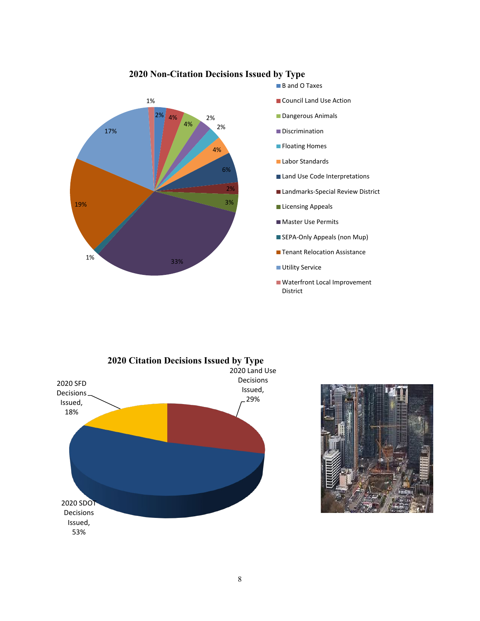

## **2020 Non-Citation Decisions Issued by Type**



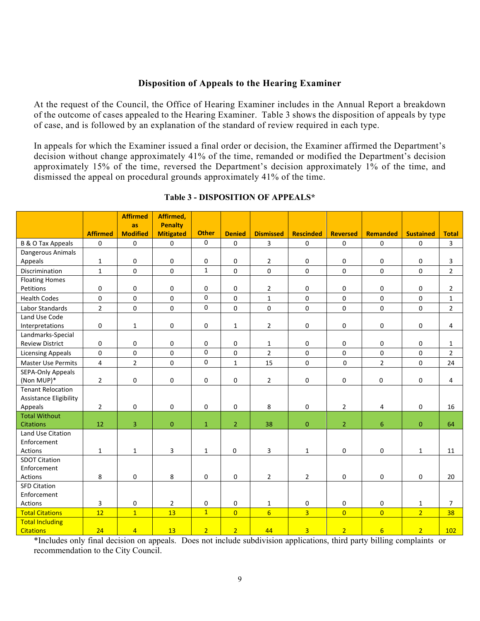#### **Disposition of Appeals to the Hearing Examiner**

At the request of the Council, the Office of Hearing Examiner includes in the Annual Report a breakdown of the outcome of cases appealed to the Hearing Examiner. Table 3 shows the disposition of appeals by type of case, and is followed by an explanation of the standard of review required in each type.

In appeals for which the Examiner issued a final order or decision, the Examiner affirmed the Department's decision without change approximately 41% of the time, remanded or modified the Department's decision approximately 15% of the time, reversed the Department's decision approximately 1% of the time, and dismissed the appeal on procedural grounds approximately 41% of the time.

|                                  |                 | <b>Affirmed</b>       | Affirmed,                          |                |                     |                  |                  |                 |                     |                  |                |
|----------------------------------|-----------------|-----------------------|------------------------------------|----------------|---------------------|------------------|------------------|-----------------|---------------------|------------------|----------------|
|                                  | <b>Affirmed</b> | as<br><b>Modified</b> | <b>Penalty</b><br><b>Mitigated</b> | <b>Other</b>   | <b>Denied</b>       | <b>Dismissed</b> | <b>Rescinded</b> | <b>Reversed</b> | <b>Remanded</b>     | <b>Sustained</b> | <b>Total</b>   |
| <b>B &amp; O Tax Appeals</b>     | 0               | $\mathsf 0$           | 0                                  | 0              | $\mathbf 0$         | 3                | 0                | 0               | $\mathsf{O}\xspace$ | 0                | $\mathbf{3}$   |
| Dangerous Animals                |                 |                       |                                    |                |                     |                  |                  |                 |                     |                  |                |
| Appeals                          | 1               | 0                     | 0                                  | 0              | $\mathbf 0$         | $\overline{2}$   | 0                | 0               | 0                   | 0                | 3              |
| Discrimination                   | $\mathbf{1}$    | $\mathbf 0$           | $\mathbf 0$                        | $\mathbf{1}$   | $\mathbf 0$         | 0                | $\mathbf 0$      | 0               | $\mathbf 0$         | 0                | $\overline{2}$ |
| <b>Floating Homes</b>            |                 |                       |                                    |                |                     |                  |                  |                 |                     |                  |                |
| Petitions                        | 0               | 0                     | 0                                  | 0              | $\mathsf 0$         | $\overline{2}$   | 0                | 0               | 0                   | 0                | $\overline{2}$ |
| <b>Health Codes</b>              | $\pmb{0}$       | $\mathbf 0$           | 0                                  | 0              | $\mathbf 0$         | $\mathbf{1}$     | $\Omega$         | $\Omega$        | $\mathsf{O}$        | $\overline{0}$   | $\mathbf{1}$   |
| Labor Standards                  | $\overline{2}$  | $\mathbf 0$           | 0                                  | 0              | $\mathbf 0$         | $\mathsf 0$      | $\mathbf 0$      | 0               | $\mathbf 0$         | 0                | $\overline{2}$ |
| Land Use Code                    |                 |                       |                                    |                |                     |                  |                  |                 |                     |                  |                |
| Interpretations                  | 0               | $\mathbf{1}$          | 0                                  | 0              | $\mathbf 1$         | $\overline{2}$   | 0                | 0               | 0                   | 0                | 4              |
| Landmarks-Special                |                 |                       |                                    |                |                     |                  |                  |                 |                     |                  |                |
| <b>Review District</b>           | 0               | 0                     | 0                                  | 0              | $\mathsf 0$         | $\mathbf{1}$     | 0                | 0               | 0                   | 0                | 1              |
| <b>Licensing Appeals</b>         | $\pmb{0}$       | $\mathbf 0$           | $\mathbf 0$                        | 0              | $\mathbf 0$         | $\overline{2}$   | $\Omega$         | 0               | $\mathbf 0$         | 0                | $\overline{2}$ |
| <b>Master Use Permits</b>        | $\overline{4}$  | $\overline{2}$        | 0                                  | 0              | $\mathbf{1}$        | 15               | $\mathbf 0$      | $\mathbf 0$     | $\overline{2}$      | 0                | 24             |
| <b>SEPA-Only Appeals</b>         |                 |                       |                                    |                |                     |                  |                  |                 |                     |                  |                |
| (Non MUP)*                       | $\overline{2}$  | $\mathsf 0$           | 0                                  | 0              | $\mathbf 0$         | $\overline{2}$   | 0                | 0               | 0                   | 0                | 4              |
| <b>Tenant Relocation</b>         |                 |                       |                                    |                |                     |                  |                  |                 |                     |                  |                |
| Assistance Eligibility           |                 |                       |                                    |                |                     |                  |                  |                 |                     |                  |                |
| Appeals                          | $\overline{2}$  | 0                     | 0                                  | 0              | $\mathbf 0$         | 8                | 0                | $\overline{2}$  | 4                   | 0                | 16             |
| <b>Total Without</b>             |                 |                       |                                    |                |                     |                  |                  |                 |                     |                  |                |
| <b>Citations</b>                 | 12              | 3                     | $\mathbf{0}$                       | $\mathbf{1}$   | $\overline{2}$      | 38               | $\mathbf{0}$     | $\overline{2}$  | $\sqrt{6}$          | $\pmb{0}$        | 64             |
| Land Use Citation<br>Enforcement |                 |                       |                                    |                |                     |                  |                  |                 |                     |                  |                |
| Actions                          | $\mathbf{1}$    | $\mathbf{1}$          | 3                                  | $\mathbf{1}$   | 0                   | 3                | $\mathbf{1}$     | 0               | 0                   | $\mathbf{1}$     | 11             |
| <b>SDOT Citation</b>             |                 |                       |                                    |                |                     |                  |                  |                 |                     |                  |                |
| Enforcement                      |                 |                       |                                    |                |                     |                  |                  |                 |                     |                  |                |
| Actions                          | 8               | 0                     | 8                                  | 0              | $\mathsf 0$         | $\overline{2}$   | $\overline{2}$   | 0               | 0                   | 0                | 20             |
| <b>SFD Citation</b>              |                 |                       |                                    |                |                     |                  |                  |                 |                     |                  |                |
| Enforcement                      |                 |                       |                                    |                |                     |                  |                  |                 |                     |                  |                |
| Actions                          | 3               | 0                     | $\overline{2}$                     | 0              | $\mathsf{O}\xspace$ | $\mathbf{1}$     | 0                | 0               | 0                   | $\mathbf{1}$     | $\overline{7}$ |
| <b>Total Citations</b>           | 12              | $\overline{1}$        | 13                                 | $\mathbf{1}$   | $\overline{0}$      | $6 \overline{6}$ | 3 <sup>°</sup>   | $\overline{0}$  | $\overline{0}$      | 2 <sup>1</sup>   | 38             |
| <b>Total Including</b>           |                 |                       |                                    |                |                     |                  |                  |                 |                     |                  |                |
| <b>Citations</b>                 | 24              | $\overline{4}$        | 13                                 | $\overline{2}$ | $\overline{2}$      | 44               | $\overline{3}$   | $\overline{2}$  | $6\overline{6}$     | $\overline{2}$   | 102            |

#### **Table 3 - DISPOSITION OF APPEALS\***

\*Includes only final decision on appeals. Does not include subdivision applications, third party billing complaints or recommendation to the City Council.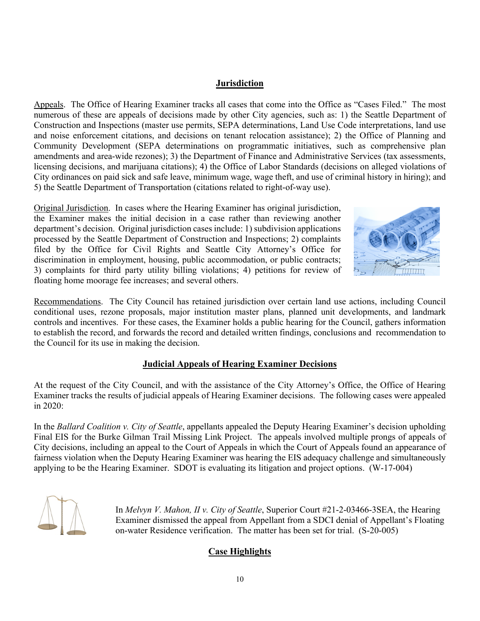## **Jurisdiction**

Appeals. The Office of Hearing Examiner tracks all cases that come into the Office as "Cases Filed." The most numerous of these are appeals of decisions made by other City agencies, such as: 1) the Seattle Department of Construction and Inspections (master use permits, SEPA determinations, Land Use Code interpretations, land use and noise enforcement citations, and decisions on tenant relocation assistance); 2) the Office of Planning and Community Development (SEPA determinations on programmatic initiatives, such as comprehensive plan amendments and area-wide rezones); 3) the Department of Finance and Administrative Services (tax assessments, licensing decisions, and marijuana citations); 4) the Office of Labor Standards (decisions on alleged violations of City ordinances on paid sick and safe leave, minimum wage, wage theft, and use of criminal history in hiring); and 5) the Seattle Department of Transportation (citations related to right-of-way use).

Original Jurisdiction. In cases where the Hearing Examiner has original jurisdiction, the Examiner makes the initial decision in a case rather than reviewing another department's decision. Original jurisdiction cases include: 1) subdivision applications processed by the Seattle Department of Construction and Inspections; 2) complaints filed by the Office for Civil Rights and Seattle City Attorney's Office for discrimination in employment, housing, public accommodation, or public contracts; 3) complaints for third party utility billing violations; 4) petitions for review of floating home moorage fee increases; and several others.



Recommendations. The City Council has retained jurisdiction over certain land use actions, including Council conditional uses, rezone proposals, major institution master plans, planned unit developments, and landmark controls and incentives. For these cases, the Examiner holds a public hearing for the Council, gathers information to establish the record, and forwards the record and detailed written findings, conclusions and recommendation to the Council for its use in making the decision.

## **Judicial Appeals of Hearing Examiner Decisions**

At the request of the City Council, and with the assistance of the City Attorney's Office, the Office of Hearing Examiner tracks the results of judicial appeals of Hearing Examiner decisions. The following cases were appealed in 2020:

In the *Ballard Coalition v. City of Seattle*, appellants appealed the Deputy Hearing Examiner's decision upholding Final EIS for the Burke Gilman Trail Missing Link Project. The appeals involved multiple prongs of appeals of City decisions, including an appeal to the Court of Appeals in which the Court of Appeals found an appearance of fairness violation when the Deputy Hearing Examiner was hearing the EIS adequacy challenge and simultaneously applying to be the Hearing Examiner. SDOT is evaluating its litigation and project options. (W-17-004)



In *Melvyn V. Mahon, II v. City of Seattle*, Superior Court #21-2-03466-3SEA, the Hearing Examiner dismissed the appeal from Appellant from a SDCI denial of Appellant's Floating on-water Residence verification. The matter has been set for trial. (S-20-005)

## **Case Highlights**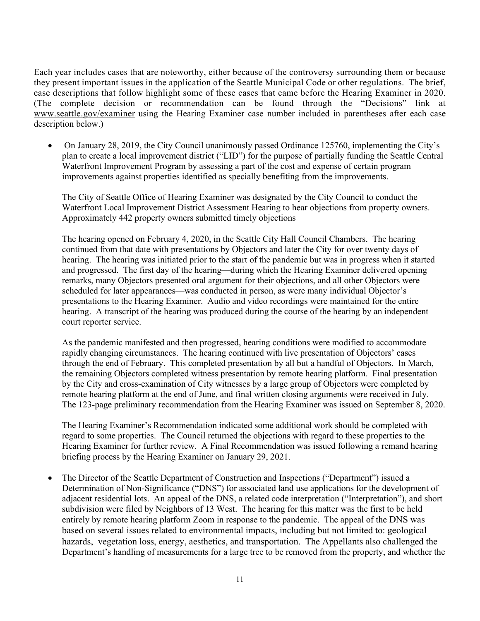Each year includes cases that are noteworthy, either because of the controversy surrounding them or because they present important issues in the application of the Seattle Municipal Code or other regulations. The brief, case descriptions that follow highlight some of these cases that came before the Hearing Examiner in 2020. (The complete decision or recommendation can be found through the "Decisions" link at [www.seattle.gov/examiner](http://www.seattle.gov/examiner) using the Hearing Examiner case number included in parentheses after each case description below.)

• On January 28, 2019, the City Council unanimously passed Ordinance 125760, implementing the City's plan to create a local improvement district ("LID") for the purpose of partially funding the Seattle Central Waterfront Improvement Program by assessing a part of the cost and expense of certain program improvements against properties identified as specially benefiting from the improvements.

The City of Seattle Office of Hearing Examiner was designated by the City Council to conduct the Waterfront Local Improvement District Assessment Hearing to hear objections from property owners. Approximately 442 property owners submitted timely objections

The hearing opened on February 4, 2020, in the Seattle City Hall Council Chambers. The hearing continued from that date with presentations by Objectors and later the City for over twenty days of hearing. The hearing was initiated prior to the start of the pandemic but was in progress when it started and progressed. The first day of the hearing—during which the Hearing Examiner delivered opening remarks, many Objectors presented oral argument for their objections, and all other Objectors were scheduled for later appearances—was conducted in person, as were many individual Objector's presentations to the Hearing Examiner. Audio and video recordings were maintained for the entire hearing. A transcript of the hearing was produced during the course of the hearing by an independent court reporter service.

As the pandemic manifested and then progressed, hearing conditions were modified to accommodate rapidly changing circumstances. The hearing continued with live presentation of Objectors' cases through the end of February. This completed presentation by all but a handful of Objectors. In March, the remaining Objectors completed witness presentation by remote hearing platform. Final presentation by the City and cross-examination of City witnesses by a large group of Objectors were completed by remote hearing platform at the end of June, and final written closing arguments were received in July. The 123-page preliminary recommendation from the Hearing Examiner was issued on September 8, 2020.

The Hearing Examiner's Recommendation indicated some additional work should be completed with regard to some properties. The Council returned the objections with regard to these properties to the Hearing Examiner for further review. A Final Recommendation was issued following a remand hearing briefing process by the Hearing Examiner on January 29, 2021.

• The Director of the Seattle Department of Construction and Inspections ("Department") issued a Determination of Non-Significance ("DNS") for associated land use applications for the development of adjacent residential lots. An appeal of the DNS, a related code interpretation ("Interpretation"), and short subdivision were filed by Neighbors of 13 West. The hearing for this matter was the first to be held entirely by remote hearing platform Zoom in response to the pandemic. The appeal of the DNS was based on several issues related to environmental impacts, including but not limited to: geological hazards, vegetation loss, energy, aesthetics, and transportation. The Appellants also challenged the Department's handling of measurements for a large tree to be removed from the property, and whether the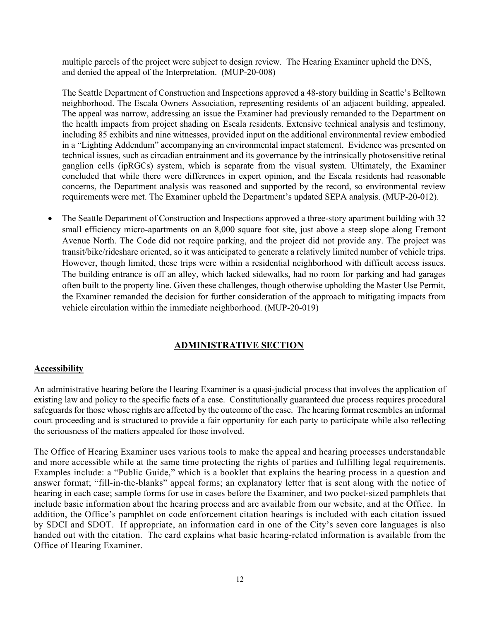multiple parcels of the project were subject to design review. The Hearing Examiner upheld the DNS, and denied the appeal of the Interpretation. (MUP-20-008)

The Seattle Department of Construction and Inspections approved a 48-story building in Seattle's Belltown neighborhood. The Escala Owners Association, representing residents of an adjacent building, appealed. The appeal was narrow, addressing an issue the Examiner had previously remanded to the Department on the health impacts from project shading on Escala residents. Extensive technical analysis and testimony, including 85 exhibits and nine witnesses, provided input on the additional environmental review embodied in a "Lighting Addendum" accompanying an environmental impact statement. Evidence was presented on technical issues, such as circadian entrainment and its governance by the intrinsically photosensitive retinal ganglion cells (ipRGCs) system, which is separate from the visual system. Ultimately, the Examiner concluded that while there were differences in expert opinion, and the Escala residents had reasonable concerns, the Department analysis was reasoned and supported by the record, so environmental review requirements were met. The Examiner upheld the Department's updated SEPA analysis. (MUP-20-012).

• The Seattle Department of Construction and Inspections approved a three-story apartment building with 32 small efficiency micro-apartments on an 8,000 square foot site, just above a steep slope along Fremont Avenue North. The Code did not require parking, and the project did not provide any. The project was transit/bike/rideshare oriented, so it was anticipated to generate a relatively limited number of vehicle trips. However, though limited, these trips were within a residential neighborhood with difficult access issues. The building entrance is off an alley, which lacked sidewalks, had no room for parking and had garages often built to the property line. Given these challenges, though otherwise upholding the Master Use Permit, the Examiner remanded the decision for further consideration of the approach to mitigating impacts from vehicle circulation within the immediate neighborhood. (MUP-20-019)

## **ADMINISTRATIVE SECTION**

#### **Accessibility**

An administrative hearing before the Hearing Examiner is a quasi-judicial process that involves the application of existing law and policy to the specific facts of a case. Constitutionally guaranteed due process requires procedural safeguards for those whose rights are affected by the outcome of the case. The hearing format resembles an informal court proceeding and is structured to provide a fair opportunity for each party to participate while also reflecting the seriousness of the matters appealed for those involved.

The Office of Hearing Examiner uses various tools to make the appeal and hearing processes understandable and more accessible while at the same time protecting the rights of parties and fulfilling legal requirements. Examples include: a "Public Guide," which is a booklet that explains the hearing process in a question and answer format; "fill-in-the-blanks" appeal forms; an explanatory letter that is sent along with the notice of hearing in each case; sample forms for use in cases before the Examiner, and two pocket-sized pamphlets that include basic information about the hearing process and are available from our website, and at the Office. In addition, the Office's pamphlet on code enforcement citation hearings is included with each citation issued by SDCI and SDOT. If appropriate, an information card in one of the City's seven core languages is also handed out with the citation. The card explains what basic hearing-related information is available from the Office of Hearing Examiner.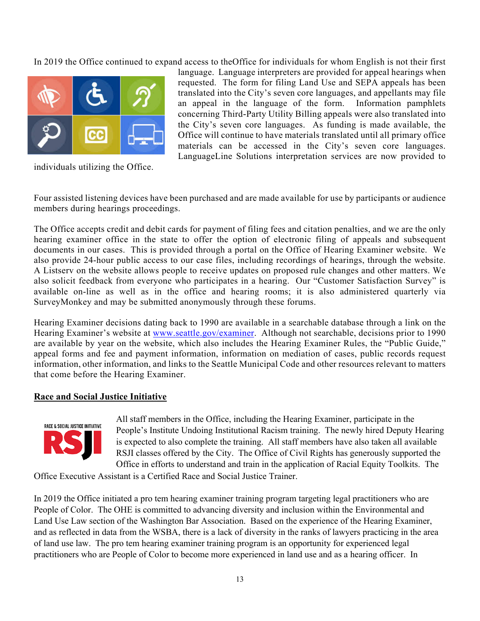In 2019 the Office continued to expand access to theOffice for individuals for whom English is not their first



individuals utilizing the Office.

language. Language interpreters are provided for appeal hearings when requested. The form for filing Land Use and SEPA appeals has been translated into the City's seven core languages, and appellants may file an appeal in the language of the form. Information pamphlets concerning Third-Party Utility Billing appeals were also translated into the City's seven core languages. As funding is made available, the Office will continue to have materials translated until all primary office materials can be accessed in the City's seven core languages. LanguageLine Solutions interpretation services are now provided to

Four assisted listening devices have been purchased and are made available for use by participants or audience members during hearings proceedings.

The Office accepts credit and debit cards for payment of filing fees and citation penalties, and we are the only hearing examiner office in the state to offer the option of electronic filing of appeals and subsequent documents in our cases. This is provided through a portal on the Office of Hearing Examiner website. We also provide 24-hour public access to our case files, including recordings of hearings, through the website. A Listserv on the website allows people to receive updates on proposed rule changes and other matters. We also solicit feedback from everyone who participates in a hearing. Our "Customer Satisfaction Survey" is available on-line as well as in the office and hearing rooms; it is also administered quarterly via SurveyMonkey and may be submitted anonymously through these forums.

Hearing Examiner decisions dating back to 1990 are available in a searchable database through a link on the Hearing Examiner's website at [www.seattle.gov/examiner.](http://www.seattle.gov/examiner) Although not searchable, decisions prior to 1990 are available by year on the website, which also includes the Hearing Examiner Rules, the "Public Guide," appeal forms and fee and payment information, information on mediation of cases, public records request information, other information, and links to the Seattle Municipal Code and other resources relevant to matters that come before the Hearing Examiner.

#### **Race and Social Justice Initiative**



All staff members in the Office, including the Hearing Examiner, participate in the People's Institute Undoing Institutional Racism training. The newly hired Deputy Hearing is expected to also complete the training. All staff members have also taken all available RSJI classes offered by the City. The Office of Civil Rights has generously supported the Office in efforts to understand and train in the application of Racial Equity Toolkits. The

Office Executive Assistant is a Certified Race and Social Justice Trainer.

In 2019 the Office initiated a pro tem hearing examiner training program targeting legal practitioners who are People of Color. The OHE is committed to advancing diversity and inclusion within the Environmental and Land Use Law section of the Washington Bar Association. Based on the experience of the Hearing Examiner, and as reflected in data from the WSBA, there is a lack of diversity in the ranks of lawyers practicing in the area of land use law. The pro tem hearing examiner training program is an opportunity for experienced legal practitioners who are People of Color to become more experienced in land use and as a hearing officer. In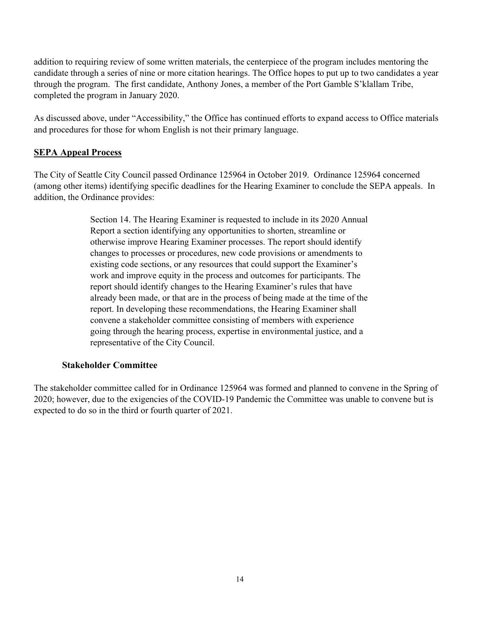addition to requiring review of some written materials, the centerpiece of the program includes mentoring the candidate through a series of nine or more citation hearings. The Office hopes to put up to two candidates a year through the program. The first candidate, Anthony Jones, a member of the Port Gamble S'klallam Tribe, completed the program in January 2020.

As discussed above, under "Accessibility," the Office has continued efforts to expand access to Office materials and procedures for those for whom English is not their primary language.

## **SEPA Appeal Process**

The City of Seattle City Council passed Ordinance 125964 in October 2019. Ordinance 125964 concerned (among other items) identifying specific deadlines for the Hearing Examiner to conclude the SEPA appeals. In addition, the Ordinance provides:

> Section 14. The Hearing Examiner is requested to include in its 2020 Annual Report a section identifying any opportunities to shorten, streamline or otherwise improve Hearing Examiner processes. The report should identify changes to processes or procedures, new code provisions or amendments to existing code sections, or any resources that could support the Examiner's work and improve equity in the process and outcomes for participants. The report should identify changes to the Hearing Examiner's rules that have already been made, or that are in the process of being made at the time of the report. In developing these recommendations, the Hearing Examiner shall convene a stakeholder committee consisting of members with experience going through the hearing process, expertise in environmental justice, and a representative of the City Council.

#### **Stakeholder Committee**

The stakeholder committee called for in Ordinance 125964 was formed and planned to convene in the Spring of 2020; however, due to the exigencies of the COVID-19 Pandemic the Committee was unable to convene but is expected to do so in the third or fourth quarter of 2021.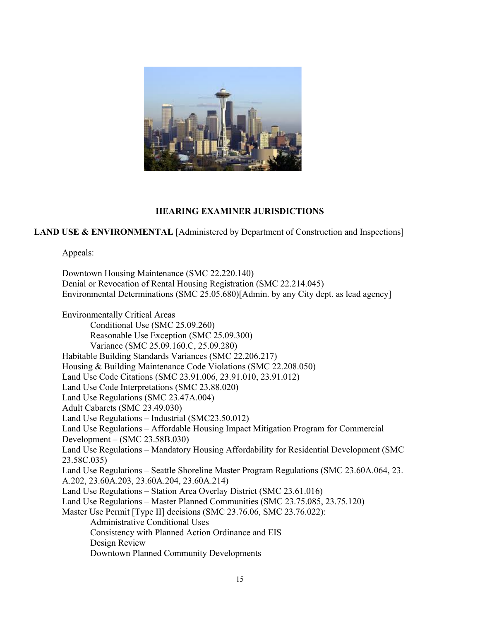

#### **HEARING EXAMINER JURISDICTIONS**

**LAND USE & ENVIRONMENTAL** [Administered by Department of Construction and Inspections]

#### Appeals:

Downtown Housing Maintenance (SMC 22.220.140) Denial or Revocation of Rental Housing Registration (SMC 22.214.045) Environmental Determinations (SMC 25.05.680)[Admin. by any City dept. as lead agency] Environmentally Critical Areas Conditional Use (SMC 25.09.260) Reasonable Use Exception (SMC 25.09.300) Variance (SMC 25.09.160.C, 25.09.280) Habitable Building Standards Variances (SMC 22.206.217) Housing & Building Maintenance Code Violations (SMC 22.208.050) Land Use Code Citations (SMC 23.91.006, 23.91.010, 23.91.012) Land Use Code Interpretations (SMC 23.88.020) Land Use Regulations (SMC 23.47A.004) Adult Cabarets (SMC 23.49.030) Land Use Regulations – Industrial (SMC23.50.012) Land Use Regulations – Affordable Housing Impact Mitigation Program for Commercial Development – (SMC 23.58B.030) Land Use Regulations – Mandatory Housing Affordability for Residential Development (SMC 23.58C.035) Land Use Regulations – Seattle Shoreline Master Program Regulations (SMC 23.60A.064, 23. A.202, 23.60A.203, 23.60A.204, 23.60A.214) Land Use Regulations – Station Area Overlay District (SMC 23.61.016) Land Use Regulations – Master Planned Communities (SMC 23.75.085, 23.75.120) Master Use Permit [Type II] decisions (SMC 23.76.06, SMC 23.76.022): Administrative Conditional Uses Consistency with Planned Action Ordinance and EIS Design Review Downtown Planned Community Developments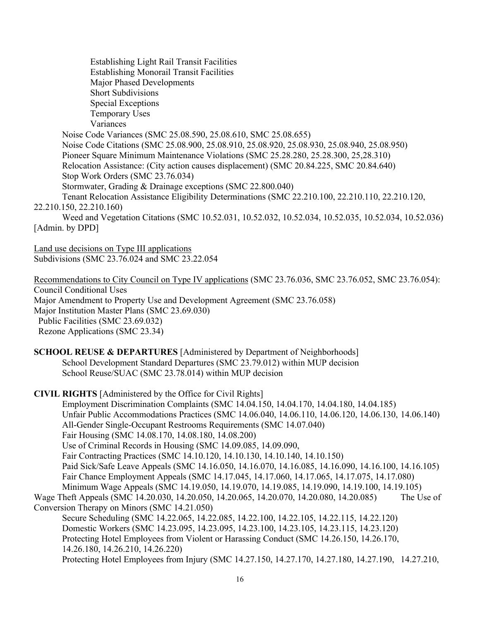Establishing Light Rail Transit Facilities Establishing Monorail Transit Facilities Major Phased Developments Short Subdivisions Special Exceptions Temporary Uses Variances Noise Code Variances (SMC 25.08.590, 25.08.610, SMC 25.08.655) Noise Code Citations (SMC 25.08.900, 25.08.910, 25.08.920, 25.08.930, 25.08.940, 25.08.950) Pioneer Square Minimum Maintenance Violations (SMC 25.28.280, 25.28.300, 25,28.310) Relocation Assistance: (City action causes displacement) (SMC 20.84.225, SMC 20.84.640) Stop Work Orders (SMC 23.76.034) Stormwater, Grading & Drainage exceptions (SMC 22.800.040) Tenant Relocation Assistance Eligibility Determinations (SMC 22.210.100, 22.210.110, 22.210.120, 22.210.150, 22.210.160) Weed and Vegetation Citations (SMC 10.52.031, 10.52.032, 10.52.034, 10.52.035, 10.52.034, 10.52.036) [Admin. by DPD] Land use decisions on Type III applications Subdivisions (SMC 23.76.024 and SMC 23.22.054

Recommendations to City Council on Type IV applications (SMC 23.76.036, SMC 23.76.052, SMC 23.76.054): Council Conditional Uses Major Amendment to Property Use and Development Agreement (SMC 23.76.058) Major Institution Master Plans (SMC 23.69.030) Public Facilities (SMC 23.69.032) Rezone Applications (SMC 23.34)

**SCHOOL REUSE & DEPARTURES** [Administered by Department of Neighborhoods] School Development Standard Departures (SMC 23.79.012) within MUP decision School Reuse/SUAC (SMC 23.78.014) within MUP decision

**CIVIL RIGHTS** [Administered by the Office for Civil Rights]

Employment Discrimination Complaints (SMC 14.04.150, 14.04.170, 14.04.180, 14.04.185) Unfair Public Accommodations Practices (SMC 14.06.040, 14.06.110, 14.06.120, 14.06.130, 14.06.140) All-Gender Single-Occupant Restrooms Requirements (SMC 14.07.040) Fair Housing (SMC 14.08.170, 14.08.180, 14.08.200) Use of Criminal Records in Housing (SMC 14.09.085, 14.09.090, Fair Contracting Practices (SMC 14.10.120, 14.10.130, 14.10.140, 14.10.150) Paid Sick/Safe Leave Appeals (SMC 14.16.050, 14.16.070, 14.16.085, 14.16.090, 14.16.100, 14.16.105) Fair Chance Employment Appeals (SMC 14.17.045, 14.17.060, 14.17.065, 14.17.075, 14.17.080) Minimum Wage Appeals (SMC 14.19.050, 14.19.070, 14.19.085, 14.19.090, 14.19.100, 14.19.105) Wage Theft Appeals (SMC 14.20.030, 14.20.050, 14.20.065, 14.20.070, 14.20.080, 14.20.085) The Use of Conversion Therapy on Minors (SMC 14.21.050) Secure Scheduling (SMC 14.22.065, 14.22.085, 14.22.100, 14.22.105, 14.22.115, 14.22.120) Domestic Workers (SMC 14.23.095, 14.23.095, 14.23.100, 14.23.105, 14.23.115, 14.23.120) Protecting Hotel Employees from Violent or Harassing Conduct (SMC 14.26.150, 14.26.170, 14.26.180, 14.26.210, 14.26.220)

Protecting Hotel Employees from Injury (SMC 14.27.150, 14.27.170, 14.27.180, 14.27.190, 14.27.210,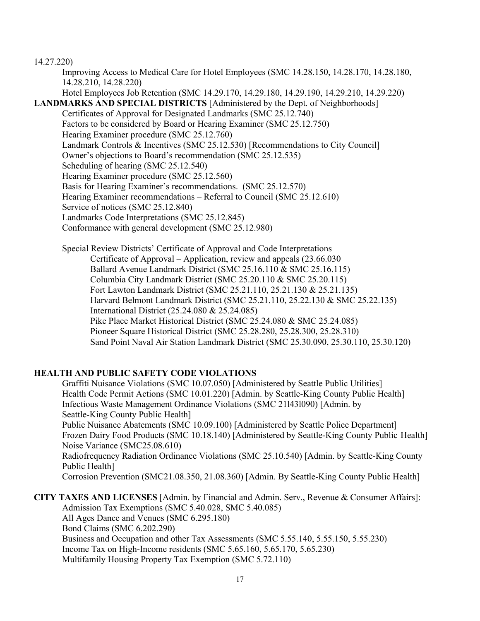#### 14.27.220)

Improving Access to Medical Care for Hotel Employees (SMC 14.28.150, 14.28.170, 14.28.180, 14.28.210, 14.28.220) Hotel Employees Job Retention (SMC 14.29.170, 14.29.180, 14.29.190, 14.29.210, 14.29.220)

## **LANDMARKS AND SPECIAL DISTRICTS** [Administered by the Dept. of Neighborhoods]

Certificates of Approval for Designated Landmarks (SMC 25.12.740) Factors to be considered by Board or Hearing Examiner (SMC 25.12.750) Hearing Examiner procedure (SMC 25.12.760) Landmark Controls & Incentives (SMC 25.12.530) [Recommendations to City Council] Owner's objections to Board's recommendation (SMC 25.12.535) Scheduling of hearing (SMC 25.12.540) Hearing Examiner procedure (SMC 25.12.560) Basis for Hearing Examiner's recommendations. (SMC 25.12.570) Hearing Examiner recommendations – Referral to Council (SMC 25.12.610) Service of notices (SMC 25.12.840) Landmarks Code Interpretations (SMC 25.12.845) Conformance with general development (SMC 25.12.980)

Special Review Districts' Certificate of Approval and Code Interpretations Certificate of Approval – Application, review and appeals (23.66.030 Ballard Avenue Landmark District (SMC 25.16.110 & SMC 25.16.115) Columbia City Landmark District (SMC 25.20.110 & SMC 25.20.115) Fort Lawton Landmark District (SMC 25.21.110, 25.21.130 & 25.21.135) Harvard Belmont Landmark District (SMC 25.21.110, 25.22.130 & SMC 25.22.135) International District (25.24.080 & 25.24.085) Pike Place Market Historical District (SMC 25.24.080 & SMC 25.24.085) Pioneer Square Historical District (SMC 25.28.280, 25.28.300, 25.28.310) Sand Point Naval Air Station Landmark District (SMC 25.30.090, 25.30.110, 25.30.120)

## **HEALTH AND PUBLIC SAFETY CODE VIOLATIONS**

Graffiti Nuisance Violations (SMC 10.07.050) [Administered by Seattle Public Utilities] Health Code Permit Actions (SMC 10.01.220) [Admin. by Seattle-King County Public Health] Infectious Waste Management Ordinance Violations (SMC 21l43l090) [Admin. by Seattle-King County Public Health] Public Nuisance Abatements (SMC 10.09.100) [Administered by Seattle Police Department] Frozen Dairy Food Products (SMC 10.18.140) [Administered by Seattle-King County Public Health] Noise Variance (SMC25.08.610) Radiofrequency Radiation Ordinance Violations (SMC 25.10.540) [Admin. by Seattle-King County Public Health] Corrosion Prevention (SMC21.08.350, 21.08.360) [Admin. By Seattle-King County Public Health]

**CITY TAXES AND LICENSES** [Admin. by Financial and Admin. Serv., Revenue & Consumer Affairs]: Admission Tax Exemptions (SMC 5.40.028, SMC 5.40.085) All Ages Dance and Venues (SMC 6.295.180) Bond Claims (SMC 6.202.290) Business and Occupation and other Tax Assessments (SMC 5.55.140, 5.55.150, 5.55.230) Income Tax on High-Income residents (SMC 5.65.160, 5.65.170, 5.65.230) Multifamily Housing Property Tax Exemption (SMC 5.72.110)